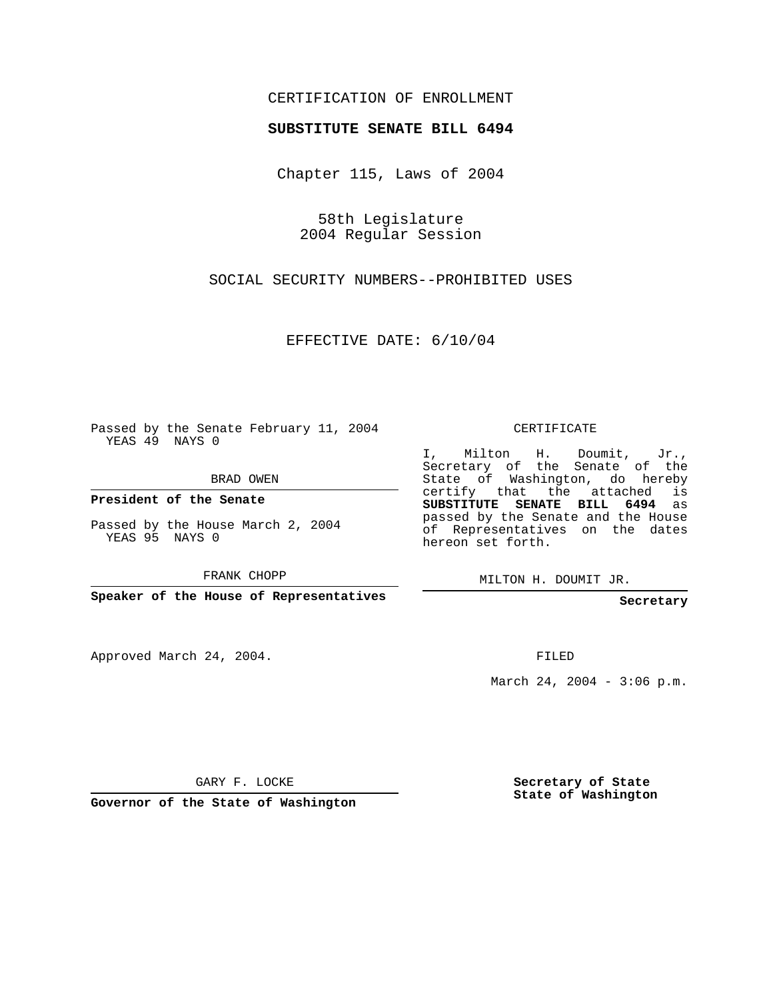## CERTIFICATION OF ENROLLMENT

## **SUBSTITUTE SENATE BILL 6494**

Chapter 115, Laws of 2004

58th Legislature 2004 Regular Session

SOCIAL SECURITY NUMBERS--PROHIBITED USES

EFFECTIVE DATE: 6/10/04

Passed by the Senate February 11, 2004 YEAS 49 NAYS 0

BRAD OWEN

**President of the Senate**

Passed by the House March 2, 2004 YEAS 95 NAYS 0

FRANK CHOPP

**Speaker of the House of Representatives**

Approved March 24, 2004.

CERTIFICATE

I, Milton H. Doumit, Jr., Secretary of the Senate of the State of Washington, do hereby certify that the attached is **SUBSTITUTE SENATE BILL 6494** as passed by the Senate and the House of Representatives on the dates hereon set forth.

MILTON H. DOUMIT JR.

**Secretary**

FILED

March 24, 2004 - 3:06 p.m.

GARY F. LOCKE

**Governor of the State of Washington**

**Secretary of State State of Washington**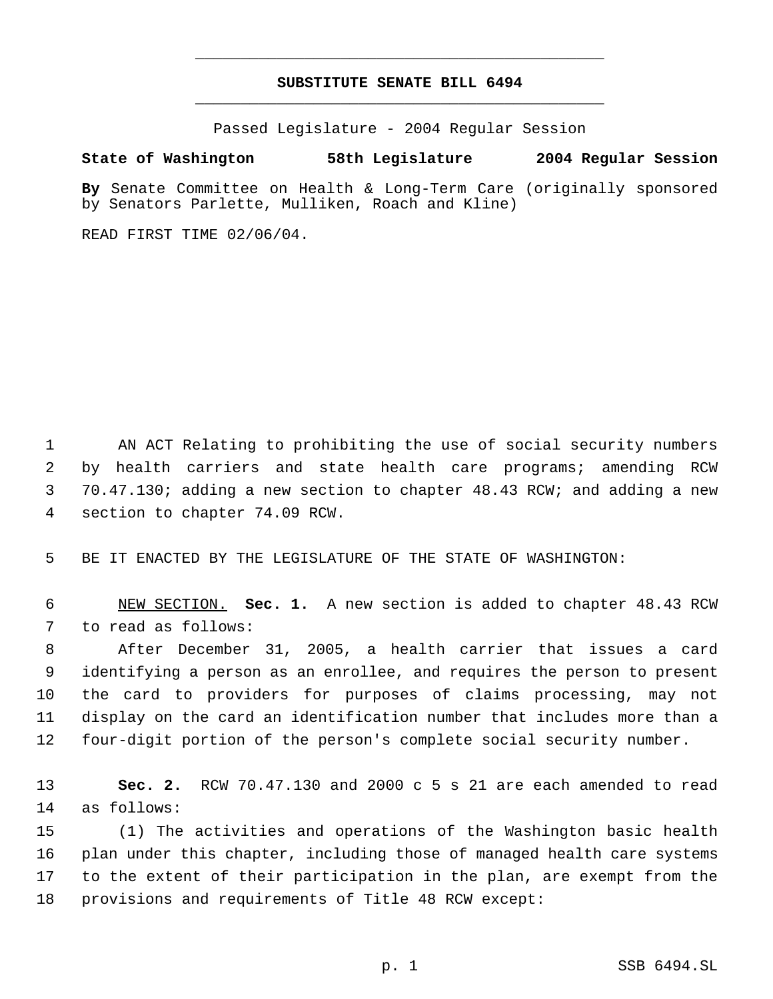## **SUBSTITUTE SENATE BILL 6494** \_\_\_\_\_\_\_\_\_\_\_\_\_\_\_\_\_\_\_\_\_\_\_\_\_\_\_\_\_\_\_\_\_\_\_\_\_\_\_\_\_\_\_\_\_

\_\_\_\_\_\_\_\_\_\_\_\_\_\_\_\_\_\_\_\_\_\_\_\_\_\_\_\_\_\_\_\_\_\_\_\_\_\_\_\_\_\_\_\_\_

Passed Legislature - 2004 Regular Session

## **State of Washington 58th Legislature 2004 Regular Session**

**By** Senate Committee on Health & Long-Term Care (originally sponsored by Senators Parlette, Mulliken, Roach and Kline)

READ FIRST TIME 02/06/04.

 AN ACT Relating to prohibiting the use of social security numbers by health carriers and state health care programs; amending RCW 70.47.130; adding a new section to chapter 48.43 RCW; and adding a new section to chapter 74.09 RCW.

BE IT ENACTED BY THE LEGISLATURE OF THE STATE OF WASHINGTON:

 NEW SECTION. **Sec. 1.** A new section is added to chapter 48.43 RCW to read as follows:

 After December 31, 2005, a health carrier that issues a card identifying a person as an enrollee, and requires the person to present the card to providers for purposes of claims processing, may not display on the card an identification number that includes more than a four-digit portion of the person's complete social security number.

 **Sec. 2.** RCW 70.47.130 and 2000 c 5 s 21 are each amended to read as follows:

 (1) The activities and operations of the Washington basic health plan under this chapter, including those of managed health care systems to the extent of their participation in the plan, are exempt from the provisions and requirements of Title 48 RCW except: